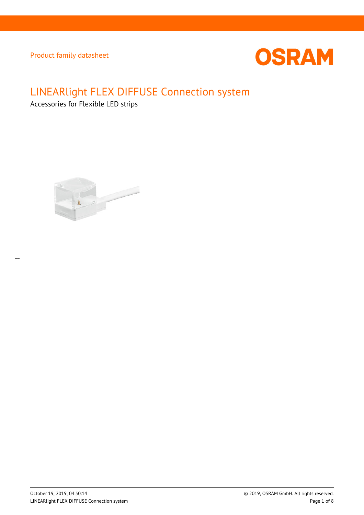

# LINEARlight FLEX DIFFUSE Connection system

Accessories for Flexible LED strips



 $\overline{a}$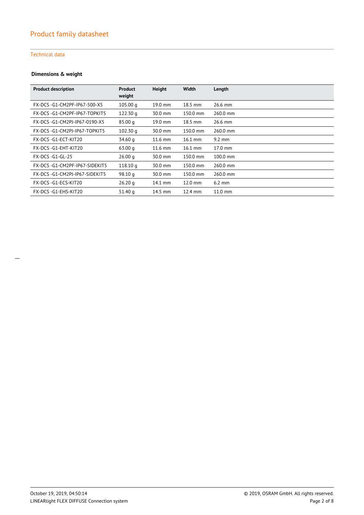#### Technical data

#### **Dimensions & weight**

| <b>Product description</b>    | <b>Product</b><br>weight | Height    | Width             | Length           |
|-------------------------------|--------------------------|-----------|-------------------|------------------|
| FX-DCS-G1-CM2PF-IP67-500-X5   | 105.00 q                 | 19.0 mm   | $18.5$ mm         | 26.6 mm          |
| FX-DCS-G1-CM2PF-IP67-TOPKIT5  | 122.30 g                 | 30.0 mm   | 150.0 mm          | 260.0 mm         |
| FX-DCS-G1-CM2PJ-IP67-0190-X5  | 85.00 <sub>a</sub>       | 19.0 mm   | $18.5$ mm         | 26.6 mm          |
| FX-DCS-G1-CM2PJ-IP67-TOPKIT5  | 102.30q                  | 30.0 mm   | 150.0 mm          | 260.0 mm         |
| FX-DCS-G1-ECT-KIT20           | 34.60 g                  | $11.6$ mm | $16.1$ mm         | $9.2 \text{ mm}$ |
| FX-DCS-G1-EHT-KIT20           | 63.00q                   | 11.6 mm   | $16.1$ mm         | 17.0 mm          |
| <b>FX-DCS-G1-GL-25</b>        | 26.00 q                  | 30.0 mm   | 150.0 mm          | 100.0 mm         |
| FX-DCS-G1-CM2PF-IP67-SIDEKIT5 | 118.10q                  | 30.0 mm   | 150.0 mm          | 260.0 mm         |
| FX-DCS-G1-CM2PJ-IP67-SIDEKIT5 | 98.10q                   | 30.0 mm   | 150.0 mm          | 260.0 mm         |
| FX-DCS-G1-ECS-KIT20           | 26.20q                   | 14.1 mm   | $12.0 \text{ mm}$ | $6.2 \text{ mm}$ |
| FX-DCS-G1-EHS-KIT20           | 51.40 g                  | $14.5$ mm | $12.4 \text{ mm}$ | $11.0$ mm        |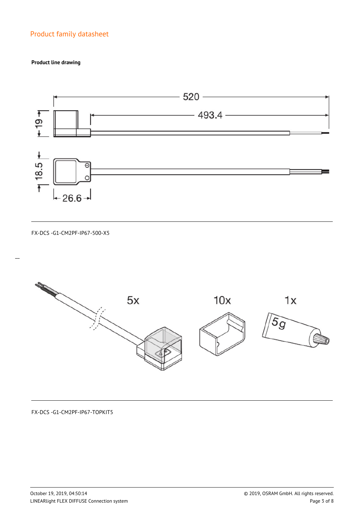#### **Product line drawing**



FX-DCS -G1-CM2PF-IP67-500-X5

 $\overline{a}$ 



FX-DCS -G1-CM2PF-IP67-TOPKIT5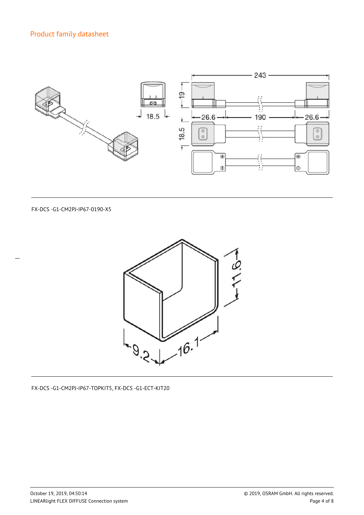

FX-DCS -G1-CM2PJ-IP67-0190-X5



FX-DCS -G1-CM2PJ-IP67-TOPKIT5, FX-DCS -G1-ECT-KIT20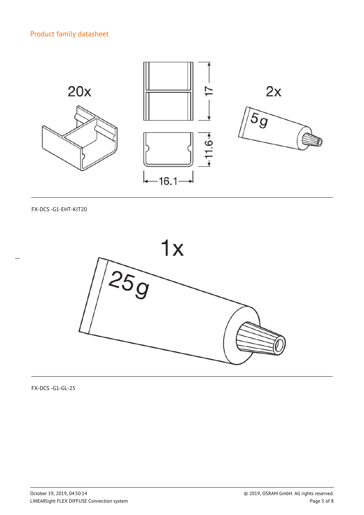

FX-DCS -G1-EHT-KIT20

 $\overline{a}$ 



FX-DCS -G1-GL-25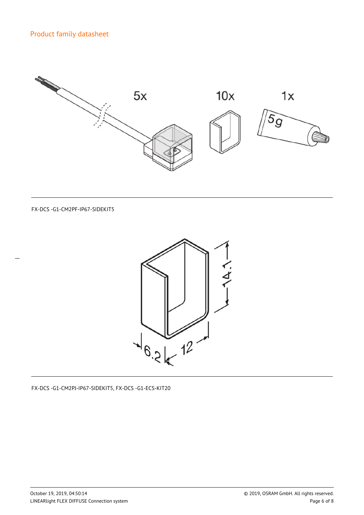

FX-DCS -G1-CM2PF-IP67-SIDEKIT5



FX-DCS -G1-CM2PJ-IP67-SIDEKIT5, FX-DCS -G1-ECS-KIT20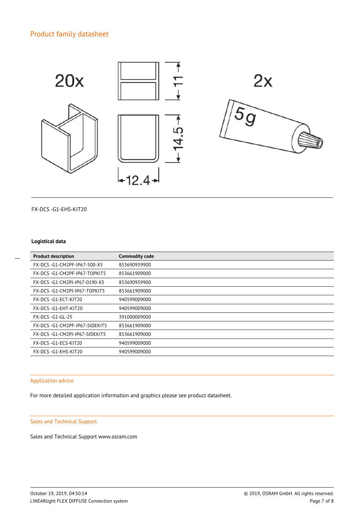

FX-DCS -G1-EHS-KIT20

#### **Logistical data**

 $\overline{a}$ 

| <b>Product description</b>    | <b>Commodity code</b> |
|-------------------------------|-----------------------|
| FX-DCS-G1-CM2PF-IP67-500-X5   | 853690959900          |
| FX-DCS-G1-CM2PF-IP67-TOPKIT5  | 853661909000          |
| FX-DCS-G1-CM2PJ-IP67-0190-X5  | 853690959900          |
| FX-DCS-G1-CM2PI-IP67-TOPKIT5  | 853661909000          |
| FX-DCS-G1-ECT-KIT20           | 940599009000          |
| FX-DCS-G1-EHT-KIT20           | 940599009000          |
| <b>FX-DCS-G1-GL-25</b>        | 391000009000          |
| FX-DCS-G1-CM2PF-IP67-SIDEKIT5 | 853661909000          |
| FX-DCS-G1-CM2PJ-IP67-SIDEKIT5 | 853661909000          |
| FX-DCS-G1-ECS-KIT20           | 940599009000          |
| FX-DCS-G1-EHS-KIT20           | 940599009000          |
|                               |                       |

#### Application advice

For more detailed application information and graphics please see product datasheet.

#### Sales and Technical Support

Sales and Technical Support www.osram.com